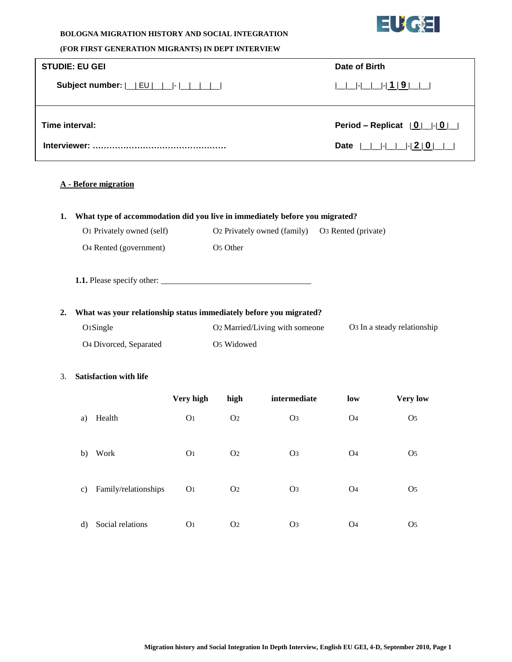

### **BOLOGNA MIGRATION HISTORY AND SOCIAL INTEGRATION**

### **(FOR FIRST GENERATION MIGRANTS) IN DEPT INTERVIEW**

| <b>STUDIE: EU GEI</b>                                        | Date of Birth                                                |
|--------------------------------------------------------------|--------------------------------------------------------------|
| Subject number: $ $ $ $ $EU$ $ $ $ $ $ $ $ $ $ $ $ $ $ $ $ $ |                                                              |
| Time interval:                                               | Period – Replicat $[0]$ $[0]$                                |
|                                                              | Date $ $   $ $   $ $   $ $   $ $   $ $   $2  $ 0   $ $   $ $ |

# **A - Before migration**

## **1. What type of accommodation did you live in immediately before you migrated?**

| O <sub>1</sub> Privately owned (self) | O <sub>2</sub> Privately owned (family) | O <sub>3</sub> Rented (private) |
|---------------------------------------|-----------------------------------------|---------------------------------|
| O <sub>4</sub> Rented (government)    | O <sub>5</sub> Other                    |                                 |

**1.1.** Please specify other: \_\_\_\_\_\_\_\_\_\_\_\_\_\_\_\_\_\_\_\_\_\_\_\_\_\_\_\_\_\_\_\_\_\_\_\_

## **2. What was your relationship status immediately before you migrated?**

| $O1$ Single                        | O <sub>2</sub> Married/Living with someone | O <sub>3</sub> In a steady relationship |
|------------------------------------|--------------------------------------------|-----------------------------------------|
| O <sub>4</sub> Divorced, Separated | O <sub>5</sub> Widowed                     |                                         |

#### 3. **Satisfaction with life**

|              |                      | Very high      | high           | intermediate   | low            | <b>Very low</b> |
|--------------|----------------------|----------------|----------------|----------------|----------------|-----------------|
| a)           | Health               | O <sub>1</sub> | O <sub>2</sub> | O <sub>3</sub> | O <sub>4</sub> | O <sub>5</sub>  |
| b)           | Work                 | O <sub>1</sub> | O <sub>2</sub> | O <sub>3</sub> | O <sub>4</sub> | O <sub>5</sub>  |
| c)           | Family/relationships | O <sub>1</sub> | O <sub>2</sub> | O <sub>3</sub> | O <sub>4</sub> | O <sub>5</sub>  |
| $\mathbf{d}$ | Social relations     | O <sub>1</sub> | O <sub>2</sub> | O <sub>3</sub> | O <sub>4</sub> | O <sub>5</sub>  |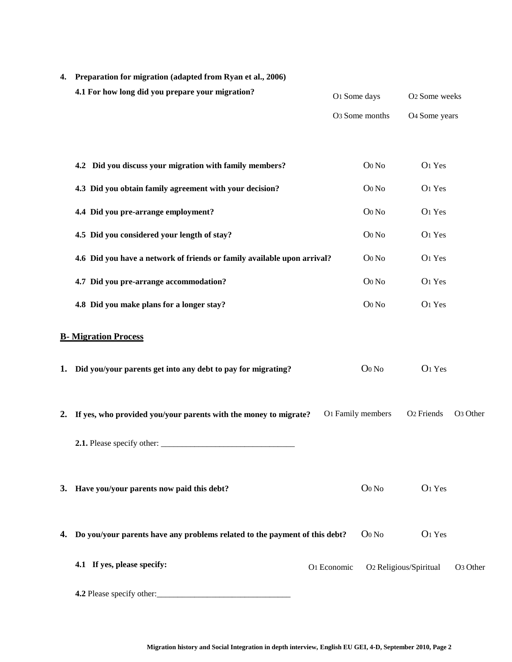| 4. | Preparation for migration (adapted from Ryan et al., 2006)                    |                   |                            |                           |                      |
|----|-------------------------------------------------------------------------------|-------------------|----------------------------|---------------------------|----------------------|
|    | 4.1 For how long did you prepare your migration?                              | O1 Some days      |                            | O <sub>2</sub> Some weeks |                      |
|    |                                                                               |                   | O <sub>3</sub> Some months | O <sub>4</sub> Some years |                      |
|    |                                                                               |                   |                            |                           |                      |
|    | 4.2 Did you discuss your migration with family members?                       |                   | Oo No                      | O1 Yes                    |                      |
|    | 4.3 Did you obtain family agreement with your decision?                       |                   | Oo No                      | O1 Yes                    |                      |
|    | 4.4 Did you pre-arrange employment?                                           |                   | Oo No                      | O1 Yes                    |                      |
|    | 4.5 Did you considered your length of stay?                                   |                   | Oo No                      | O1 Yes                    |                      |
|    | 4.6 Did you have a network of friends or family available upon arrival?       |                   | Oo No                      | O1 Yes                    |                      |
|    | 4.7 Did you pre-arrange accommodation?                                        |                   | Oo No                      | O1 Yes                    |                      |
|    | 4.8 Did you make plans for a longer stay?                                     |                   | Oo No                      | O1 Yes                    |                      |
|    | <b>B-</b> Migration Process                                                   |                   |                            |                           |                      |
|    | 1. Did you/your parents get into any debt to pay for migrating?               |                   | $O0$ No                    | O <sub>1</sub> Yes        |                      |
|    | 2. If yes, who provided you/your parents with the money to migrate?           | O1 Family members |                            | O <sub>2</sub> Friends    | O <sub>3</sub> Other |
|    | 2.1. Please specify other:                                                    |                   |                            |                           |                      |
|    | 3. Have you/your parents now paid this debt?                                  |                   | $O0$ No                    | O <sub>1</sub> Yes        |                      |
|    | 4. Do you/your parents have any problems related to the payment of this debt? |                   | $O0$ No                    | O <sub>1</sub> Yes        |                      |
|    | 4.1 If yes, please specify:                                                   | O1 Economic       |                            | O2 Religious/Spiritual    | O <sub>3</sub> Other |
|    | 4.2 Please specify other:                                                     |                   |                            |                           |                      |